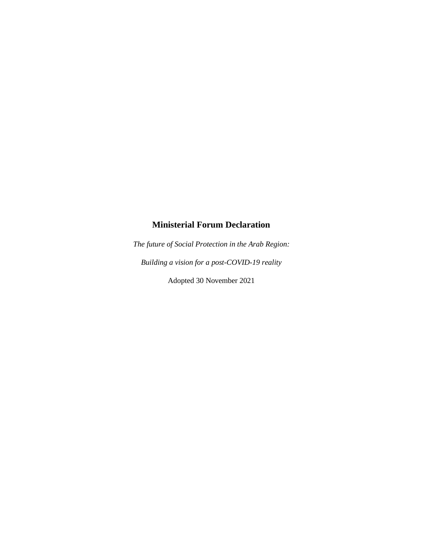## **Ministerial Forum Declaration**

*The future of Social Protection in the Arab Region: Building a vision for a post-COVID-19 reality*

Adopted 30 November 2021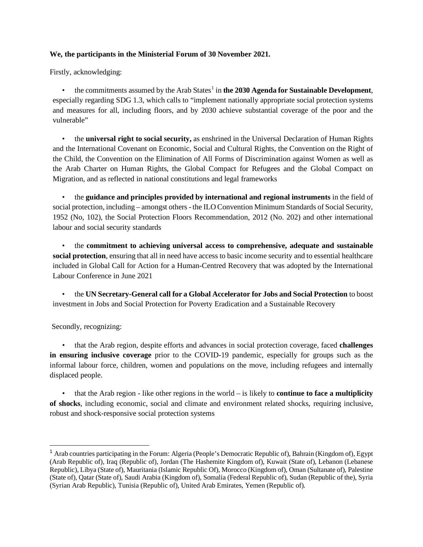## **We, the participants in the Ministerial Forum of 30 November 2021.**

Firstly, acknowledging:

 $\bullet$  the commitments assumed by the Arab States<sup>[1](#page-1-0)</sup> in **the 2030 Agenda for Sustainable Development**, especially regarding SDG 1.3, which calls to "implement nationally appropriate social protection systems and measures for all, including floors, and by 2030 achieve substantial coverage of the poor and the vulnerable"

• the **universal right to social security,** as enshrined in the Universal Declaration of Human Rights and the International Covenant on Economic, Social and Cultural Rights, the Convention on the Right of the Child, the Convention on the Elimination of All Forms of Discrimination against Women as well as the Arab Charter on Human Rights, the Global Compact for Refugees and the Global Compact on Migration, and as reflected in national constitutions and legal frameworks

• the **guidance and principles provided by international and regional instruments** in the field of social protection, including – amongst others - the ILO Convention Minimum Standards of Social Security, 1952 (No, 102), the Social Protection Floors Recommendation, 2012 (No. 202) and other international labour and social security standards

• the **commitment to achieving universal access to comprehensive, adequate and sustainable social protection**, ensuring that all in need have access to basic income security and to essential healthcare included in Global Call for Action for a Human-Centred Recovery that was adopted by the International Labour Conference in June 2021

• the **UN Secretary-General call for a Global Accelerator for Jobs and Social Protection** to boost investment in [Jobs and Social Protection for Poverty Eradication and a Sustainable Recovery](https://www.un.org/sites/un2.un.org/files/sg_policy_brief_on_jobs_and_social_protection_sept_2021.pdf)

Secondly, recognizing:

• that the Arab region, despite efforts and advances in social protection coverage, faced **challenges in ensuring inclusive coverage** prior to the COVID-19 pandemic, especially for groups such as the informal labour force, children, women and populations on the move, including refugees and internally displaced people.

• that the Arab region - like other regions in the world – is likely to **continue to face a multiplicity of shocks**, including economic, social and climate and environment related shocks, requiring inclusive, robust and shock-responsive social protection systems

<span id="page-1-0"></span><sup>1</sup> Arab countries participating in the Forum: Algeria (People's Democratic Republic of), Bahrain (Kingdom of), Egypt (Arab Republic of), Iraq (Republic of), Jordan (The Hashemite Kingdom of), Kuwait (State of), Lebanon (Lebanese Republic), Libya (State of), Mauritania (Islamic Republic Of), Morocco (Kingdom of), Oman (Sultanate of), Palestine (State of), Qatar (State of), Saudi Arabia (Kingdom of), Somalia (Federal Republic of), Sudan (Republic of the), Syria (Syrian Arab Republic), Tunisia (Republic of), United Arab Emirates, Yemen (Republic of).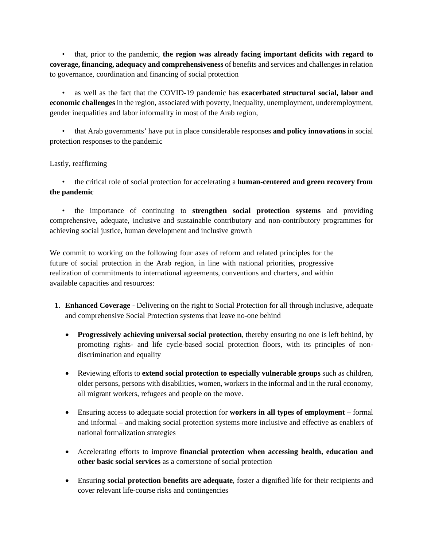• that, prior to the pandemic, **the region was already facing important deficits with regard to coverage, financing, adequacy and comprehensiveness** of benefits and services and challenges in relation to governance, coordination and financing of social protection

• as well as the fact that the COVID-19 pandemic has **exacerbated structural social, labor and economic challenges** in the region, associated with poverty, inequality, unemployment, underemployment, gender inequalities and labor informality in most of the Arab region,

• that Arab governments' have put in place considerable responses **and policy innovations** in social protection responses to the pandemic

## Lastly, reaffirming

• the critical role of social protection for accelerating a **human-centered and green recovery from the pandemic**

• the importance of continuing to **strengthen social protection systems** and providing comprehensive, adequate, inclusive and sustainable contributory and non-contributory programmes for achieving social justice, human development and inclusive growth

We commit to working on the following four axes of reform and related principles for the future of social protection in the Arab region, in line with national priorities, progressive realization of commitments to international agreements, conventions and charters, and within available capacities and resources:

- **1. Enhanced Coverage -** Delivering on the right to Social Protection for all through inclusive, adequate and comprehensive Social Protection systems that leave no-one behind
	- **Progressively achieving universal social protection**, thereby ensuring no one is left behind, by promoting rights- and life cycle-based social protection floors, with its principles of nondiscrimination and equality
	- Reviewing efforts to **extend social protection to especially vulnerable groups** such as children, older persons, persons with disabilities, women, workers in the informal and in the rural economy, all migrant workers, refugees and people on the move.
	- Ensuring access to adequate social protection for **workers in all types of employment** formal and informal – and making social protection systems more inclusive and effective as enablers of national formalization strategies
	- Accelerating efforts to improve **financial protection when accessing health, education and other basic social services** as a cornerstone of social protection
	- Ensuring **social protection benefits are adequate**, foster a dignified life for their recipients and cover relevant life-course risks and contingencies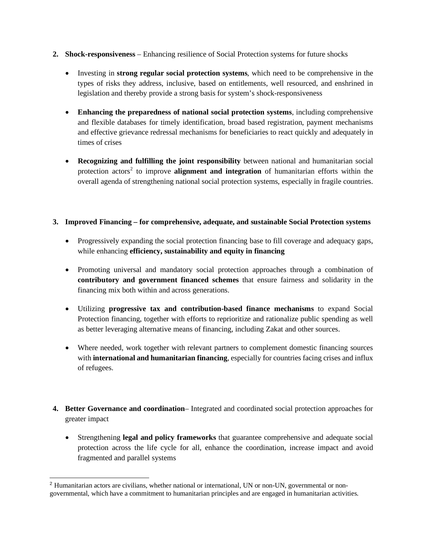- **2. Shock-responsiveness**  Enhancing resilience of Social Protection systems for future shocks
	- Investing in **strong regular social protection systems**, which need to be comprehensive in the types of risks they address, inclusive, based on entitlements, well resourced, and enshrined in legislation and thereby provide a strong basis for system's shock-responsiveness
	- **Enhancing the preparedness of national social protection systems**, including comprehensive and flexible databases for timely identification, broad based registration, payment mechanisms and effective grievance redressal mechanisms for beneficiaries to react quickly and adequately in times of crises
	- **Recognizing and fulfilling the joint responsibility** between national and humanitarian social protection actors<sup>[2](#page-3-0)</sup> to improve **alignment and integration** of humanitarian efforts within the overall agenda of strengthening national social protection systems, especially in fragile countries.

## **3. Improved Financing – for comprehensive, adequate, and sustainable Social Protection systems**

- Progressively expanding the social protection financing base to fill coverage and adequacy gaps, while enhancing **efficiency, sustainability and equity in financing**
- Promoting universal and mandatory social protection approaches through a combination of **contributory and government financed schemes** that ensure fairness and solidarity in the financing mix both within and across generations.
- Utilizing **progressive tax and contribution-based finance mechanisms** to expand Social Protection financing, together with efforts to reprioritize and rationalize public spending as well as better leveraging alternative means of financing, including Zakat and other sources.
- Where needed, work together with relevant partners to complement domestic financing sources with **international and humanitarian financing**, especially for countries facing crises and influx of refugees.
- **4. Better Governance and coordination** Integrated and coordinated social protection approaches for greater impact
	- Strengthening **legal and policy frameworks** that guarantee comprehensive and adequate social protection across the life cycle for all, enhance the coordination, increase impact and avoid fragmented and parallel systems

<span id="page-3-0"></span><sup>2</sup> Humanitarian actors are civilians, whether national or international, UN or non-UN, governmental or nongovernmental, which have a commitment to humanitarian principles and are engaged in humanitarian activities.